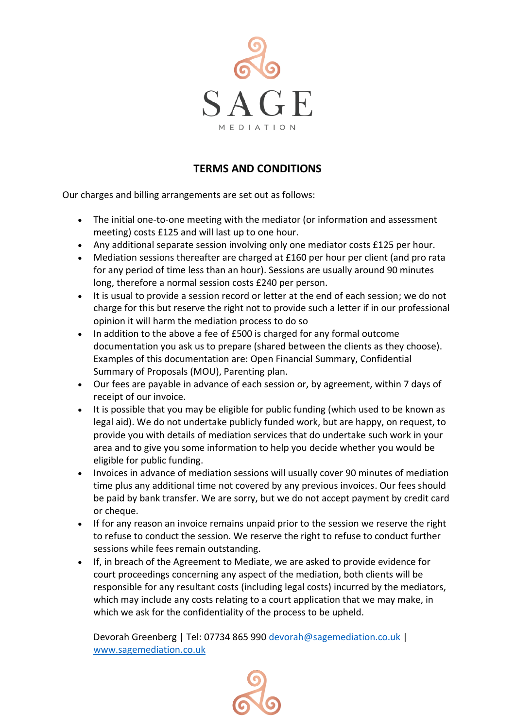

# **TERMS AND CONDITIONS**

Our charges and billing arrangements are set out as follows:

- The initial one-to-one meeting with the mediator (or information and assessment meeting) costs £125 and will last up to one hour.
- Any additional separate session involving only one mediator costs £125 per hour.
- Mediation sessions thereafter are charged at £160 per hour per client (and pro rata for any period of time less than an hour). Sessions are usually around 90 minutes long, therefore a normal session costs £240 per person.
- It is usual to provide a session record or letter at the end of each session; we do not charge for this but reserve the right not to provide such a letter if in our professional opinion it will harm the mediation process to do so
- In addition to the above a fee of £500 is charged for any formal outcome documentation you ask us to prepare (shared between the clients as they choose). Examples of this documentation are: Open Financial Summary, Confidential Summary of Proposals (MOU), Parenting plan.
- Our fees are payable in advance of each session or, by agreement, within 7 days of receipt of our invoice.
- It is possible that you may be eligible for public funding (which used to be known as legal aid). We do not undertake publicly funded work, but are happy, on request, to provide you with details of mediation services that do undertake such work in your area and to give you some information to help you decide whether you would be eligible for public funding.
- Invoices in advance of mediation sessions will usually cover 90 minutes of mediation time plus any additional time not covered by any previous invoices. Our fees should be paid by bank transfer. We are sorry, but we do not accept payment by credit card or cheque.
- If for any reason an invoice remains unpaid prior to the session we reserve the right to refuse to conduct the session. We reserve the right to refuse to conduct further sessions while fees remain outstanding.
- If, in breach of the Agreement to Mediate, we are asked to provide evidence for court proceedings concerning any aspect of the mediation, both clients will be responsible for any resultant costs (including legal costs) incurred by the mediators, which may include any costs relating to a court application that we may make, in which we ask for the confidentiality of the process to be upheld.

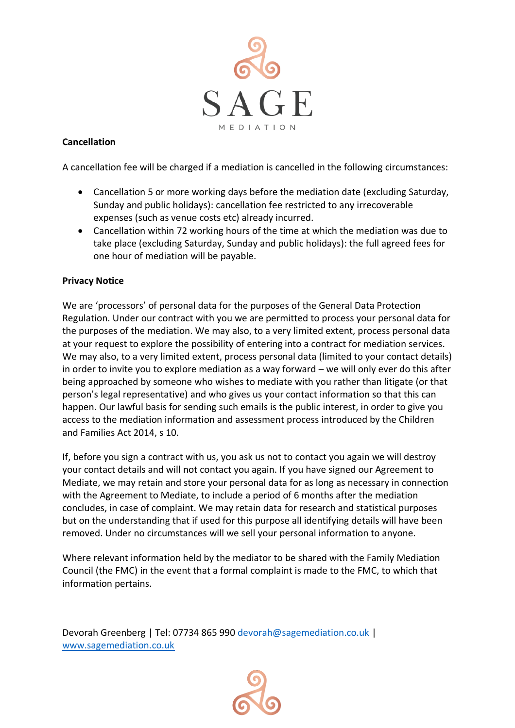

## **Cancellation**

A cancellation fee will be charged if a mediation is cancelled in the following circumstances:

- Cancellation 5 or more working days before the mediation date (excluding Saturday, Sunday and public holidays): cancellation fee restricted to any irrecoverable expenses (such as venue costs etc) already incurred.
- Cancellation within 72 working hours of the time at which the mediation was due to take place (excluding Saturday, Sunday and public holidays): the full agreed fees for one hour of mediation will be payable.

### **Privacy Notice**

We are 'processors' of personal data for the purposes of the General Data Protection Regulation. Under our contract with you we are permitted to process your personal data for the purposes of the mediation. We may also, to a very limited extent, process personal data at your request to explore the possibility of entering into a contract for mediation services. We may also, to a very limited extent, process personal data (limited to your contact details) in order to invite you to explore mediation as a way forward – we will only ever do this after being approached by someone who wishes to mediate with you rather than litigate (or that person's legal representative) and who gives us your contact information so that this can happen. Our lawful basis for sending such emails is the public interest, in order to give you access to the mediation information and assessment process introduced by the Children and Families Act 2014, s 10.

If, before you sign a contract with us, you ask us not to contact you again we will destroy your contact details and will not contact you again. If you have signed our Agreement to Mediate, we may retain and store your personal data for as long as necessary in connection with the Agreement to Mediate, to include a period of 6 months after the mediation concludes, in case of complaint. We may retain data for research and statistical purposes but on the understanding that if used for this purpose all identifying details will have been removed. Under no circumstances will we sell your personal information to anyone.

Where relevant information held by the mediator to be shared with the Family Mediation Council (the FMC) in the event that a formal complaint is made to the FMC, to which that information pertains.

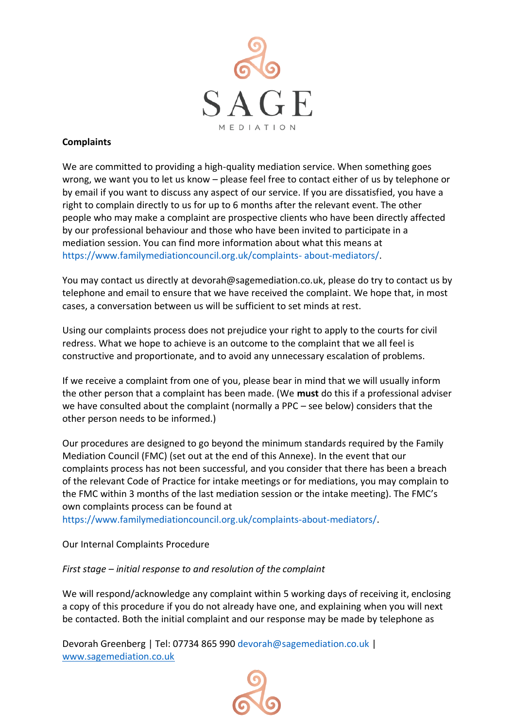

### **Complaints**

We are committed to providing a high-quality mediation service. When something goes wrong, we want you to let us know – please feel free to contact either of us by telephone or by email if you want to discuss any aspect of our service. If you are dissatisfied, you have a right to complain directly to us for up to 6 months after the relevant event. The other people who may make a complaint are prospective clients who have been directly affected by our professional behaviour and those who have been invited to participate in a mediation session. You can find more information about what this means at https://www.familymediationcouncil.org.uk/complaints- about-mediators/.

You may contact us directly at devorah@sagemediation.co.uk, please do try to contact us by telephone and email to ensure that we have received the complaint. We hope that, in most cases, a conversation between us will be sufficient to set minds at rest.

Using our complaints process does not prejudice your right to apply to the courts for civil redress. What we hope to achieve is an outcome to the complaint that we all feel is constructive and proportionate, and to avoid any unnecessary escalation of problems.

If we receive a complaint from one of you, please bear in mind that we will usually inform the other person that a complaint has been made. (We **must** do this if a professional adviser we have consulted about the complaint (normally a PPC – see below) considers that the other person needs to be informed.)

Our procedures are designed to go beyond the minimum standards required by the Family Mediation Council (FMC) (set out at the end of this Annexe). In the event that our complaints process has not been successful, and you consider that there has been a breach of the relevant Code of Practice for intake meetings or for mediations, you may complain to the FMC within 3 months of the last mediation session or the intake meeting). The FMC's own complaints process can be found at

https://www.familymediationcouncil.org.uk/complaints-about-mediators/.

Our Internal Complaints Procedure

#### *First stage – initial response to and resolution of the complaint*

We will respond/acknowledge any complaint within 5 working days of receiving it, enclosing a copy of this procedure if you do not already have one, and explaining when you will next be contacted. Both the initial complaint and our response may be made by telephone as

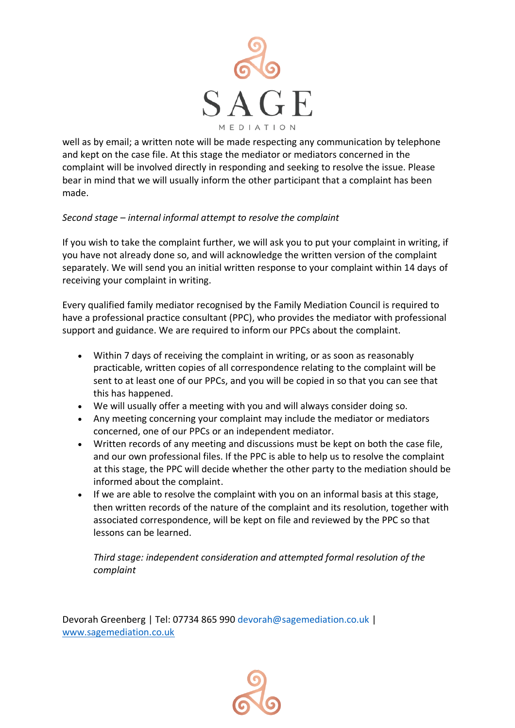

well as by email; a written note will be made respecting any communication by telephone and kept on the case file. At this stage the mediator or mediators concerned in the complaint will be involved directly in responding and seeking to resolve the issue. Please bear in mind that we will usually inform the other participant that a complaint has been made.

## *Second stage – internal informal attempt to resolve the complaint*

If you wish to take the complaint further, we will ask you to put your complaint in writing, if you have not already done so, and will acknowledge the written version of the complaint separately. We will send you an initial written response to your complaint within 14 days of receiving your complaint in writing.

Every qualified family mediator recognised by the Family Mediation Council is required to have a professional practice consultant (PPC), who provides the mediator with professional support and guidance. We are required to inform our PPCs about the complaint.

- Within 7 days of receiving the complaint in writing, or as soon as reasonably practicable, written copies of all correspondence relating to the complaint will be sent to at least one of our PPCs, and you will be copied in so that you can see that this has happened.
- We will usually offer a meeting with you and will always consider doing so.
- Any meeting concerning your complaint may include the mediator or mediators concerned, one of our PPCs or an independent mediator.
- Written records of any meeting and discussions must be kept on both the case file, and our own professional files. If the PPC is able to help us to resolve the complaint at this stage, the PPC will decide whether the other party to the mediation should be informed about the complaint.
- If we are able to resolve the complaint with you on an informal basis at this stage, then written records of the nature of the complaint and its resolution, together with associated correspondence, will be kept on file and reviewed by the PPC so that lessons can be learned.

*Third stage: independent consideration and attempted formal resolution of the complaint* 

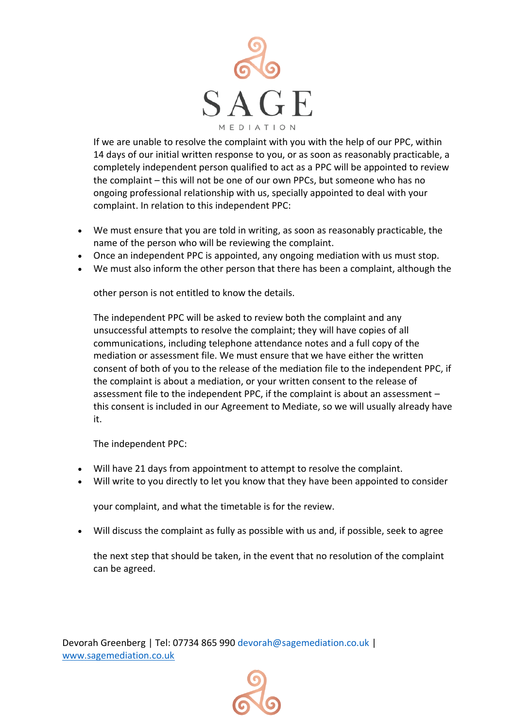

If we are unable to resolve the complaint with you with the help of our PPC, within 14 days of our initial written response to you, or as soon as reasonably practicable, a completely independent person qualified to act as a PPC will be appointed to review the complaint – this will not be one of our own PPCs, but someone who has no ongoing professional relationship with us, specially appointed to deal with your complaint. In relation to this independent PPC:

- We must ensure that you are told in writing, as soon as reasonably practicable, the name of the person who will be reviewing the complaint.
- Once an independent PPC is appointed, any ongoing mediation with us must stop.
- We must also inform the other person that there has been a complaint, although the

other person is not entitled to know the details.

The independent PPC will be asked to review both the complaint and any unsuccessful attempts to resolve the complaint; they will have copies of all communications, including telephone attendance notes and a full copy of the mediation or assessment file. We must ensure that we have either the written consent of both of you to the release of the mediation file to the independent PPC, if the complaint is about a mediation, or your written consent to the release of assessment file to the independent PPC, if the complaint is about an assessment – this consent is included in our Agreement to Mediate, so we will usually already have it.

The independent PPC:

- Will have 21 days from appointment to attempt to resolve the complaint.
- Will write to you directly to let you know that they have been appointed to consider

your complaint, and what the timetable is for the review.

• Will discuss the complaint as fully as possible with us and, if possible, seek to agree

the next step that should be taken, in the event that no resolution of the complaint can be agreed.